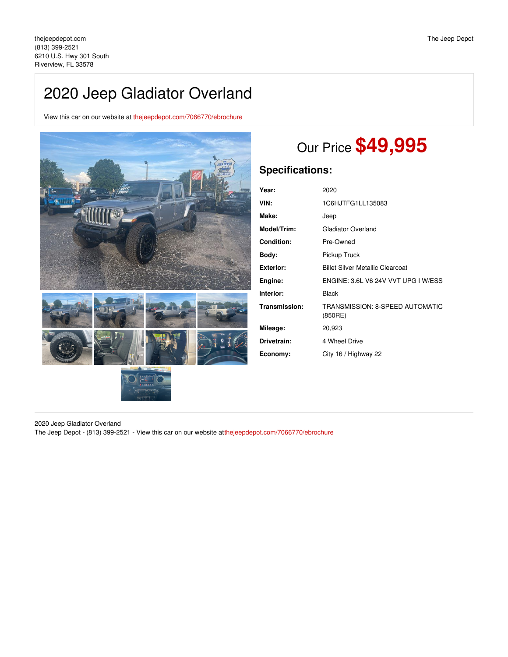## 2020 Jeep Gladiator Overland

View this car on our website at [thejeepdepot.com/7066770/ebrochure](https://thejeepdepot.com/vehicle/7066770/2020-jeep-gladiator-overland-riverview-fl-33578/7066770/ebrochure)



# Our Price **\$49,995**

## **Specifications:**

| Year:             | 2020                                       |
|-------------------|--------------------------------------------|
| VIN:              | 1C6HJTFG1LL135083                          |
| Make:             | Jeep                                       |
| Model/Trim:       | <b>Gladiator Overland</b>                  |
| <b>Condition:</b> | Pre-Owned                                  |
| Body:             | Pickup Truck                               |
| <b>Exterior:</b>  | <b>Billet Silver Metallic Clearcoat</b>    |
| Engine:           | ENGINE: 3.6L V6 24V VVT UPG I W/ESS        |
| Interior:         | <b>Black</b>                               |
| Transmission:     | TRANSMISSION: 8-SPEED AUTOMATIC<br>(850RE) |
| Mileage:          | 20,923                                     |
| Drivetrain:       | 4 Wheel Drive                              |
| Economy:          | City 16 / Highway 22                       |

2020 Jeep Gladiator Overland The Jeep Depot - (813) 399-2521 - View this car on our website at[thejeepdepot.com/7066770/ebrochure](https://thejeepdepot.com/vehicle/7066770/2020-jeep-gladiator-overland-riverview-fl-33578/7066770/ebrochure)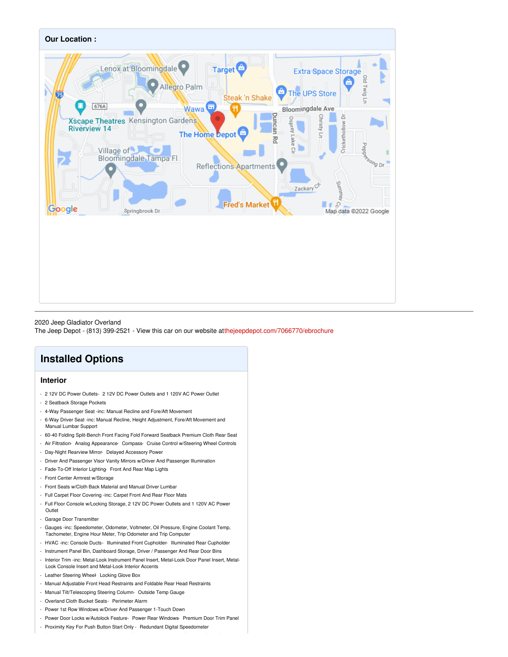

### 2020 Jeep Gladiator Overland

The Jeep Depot - (813) 399-2521 - View this car on our website at[thejeepdepot.com/7066770/ebrochure](https://thejeepdepot.com/vehicle/7066770/2020-jeep-gladiator-overland-riverview-fl-33578/7066770/ebrochure)

## **Installed Options**

## **Interior**

- 2 12V DC Power Outlets- 2 12V DC Power Outlets and 1 120V AC Power Outlet
- 2 Seatback Storage Pockets
- 4-Way Passenger Seat -inc: Manual Recline and Fore/Aft Movement
- 6-Way Driver Seat -inc: Manual Recline, Height Adjustment, Fore/Aft Movement and
- Manual Lumbar Support - 60-40 Folding Split-Bench Front Facing Fold Forward Seatback Premium Cloth Rear Seat
- Air Filtration- Analog Appearance- Compass- Cruise Control w/Steering Wheel Controls
- Day-Night Rearview Mirror- Delayed Accessory Power
- Driver And Passenger Visor Vanity Mirrors w/Driver And Passenger Illumination
- Fade-To-Off Interior Lighting- Front And Rear Map Lights
- Front Center Armrest w/Storage
- Front Seats w/Cloth Back Material and Manual Driver Lumbar
- Full Carpet Floor Covering -inc: Carpet Front And Rear Floor Mats
- Full Floor Console w/Locking Storage, 2 12V DC Power Outlets and 1 120V AC Power Outlet
- Garage Door Transmitter
- Gauges -inc: Speedometer, Odometer, Voltmeter, Oil Pressure, Engine Coolant Temp, Tachometer, Engine Hour Meter, Trip Odometer and Trip Computer
- HVAC -inc: Console Ducts- Illuminated Front Cupholder- Illuminated Rear Cupholder
- Instrument Panel Bin, Dashboard Storage, Driver / Passenger And Rear Door Bins
- Interior Trim -inc: Metal-Look Instrument Panel Insert, Metal-Look Door Panel Insert, Metal-Look Console Insert and Metal-Look Interior Accents
- Leather Steering Wheel- Locking Glove Box
- Manual Adjustable Front Head Restraints and Foldable Rear Head Restraints
- Manual Tilt/Telescoping Steering Column- Outside Temp Gauge
- Overland Cloth Bucket Seats- Perimeter Alarm
- Power 1st Row Windows w/Driver And Passenger 1-Touch Down
- Power Door Locks w/Autolock Feature- Power Rear Windows- Premium Door Trim Panel
- Proximity Key For Push Button Start Only Redundant Digital Speedometer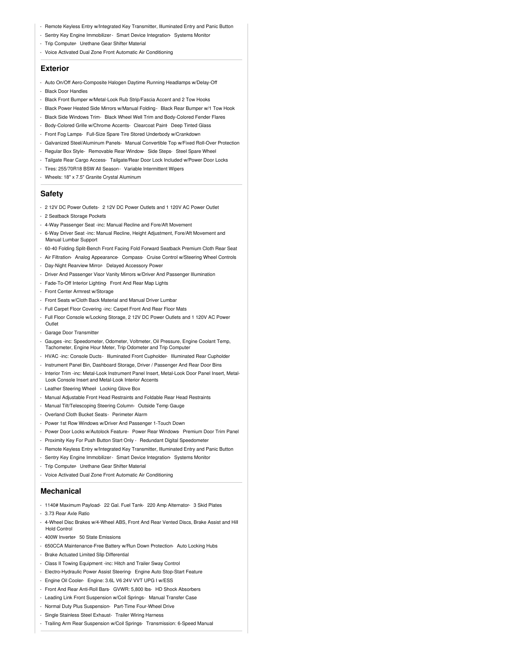- Remote Keyless Entry w/Integrated Key Transmitter, Illuminated Entry and Panic Button
- Sentry Key Engine Immobilizer Smart Device Integration- Systems Monitor
- Trip Computer- Urethane Gear Shifter Material
- Voice Activated Dual Zone Front Automatic Air Conditioning

#### **Exterior**

- Auto On/Off Aero-Composite Halogen Daytime Running Headlamps w/Delay-Off
- Black Door Handles
- Black Front Bumper w/Metal-Look Rub Strip/Fascia Accent and 2 Tow Hooks
- Black Power Heated Side Mirrors w/Manual Folding- Black Rear Bumper w/1 Tow Hook
- Black Side Windows Trim- Black Wheel Well Trim and Body-Colored Fender Flares
- Body-Colored Grille w/Chrome Accents- Clearcoat Paint- Deep Tinted Glass
- Front Fog Lamps- Full-Size Spare Tire Stored Underbody w/Crankdown
- Galvanized Steel/Aluminum Panels- Manual Convertible Top w/Fixed Roll-Over Protection
- Regular Box Style- Removable Rear Window- Side Steps- Steel Spare Wheel
- Tailgate Rear Cargo Access- Tailgate/Rear Door Lock Included w/Power Door Locks
- Tires: 255/70R18 BSW All Season- Variable Intermittent Wipers
- Wheels: 18" x 7.5" Granite Crystal Aluminum

#### **Safety**

- 2 12V DC Power Outlets- 2 12V DC Power Outlets and 1 120V AC Power Outlet
- 2 Seatback Storage Pockets
- 4-Way Passenger Seat -inc: Manual Recline and Fore/Aft Movement
- 6-Way Driver Seat -inc: Manual Recline, Height Adjustment, Fore/Aft Movement and Manual Lumbar Support
- 60-40 Folding Split-Bench Front Facing Fold Forward Seatback Premium Cloth Rear Seat
- Air Filtration- Analog Appearance- Compass- Cruise Control w/Steering Wheel Controls
- Day-Night Rearview Mirror- Delayed Accessory Power
- Driver And Passenger Visor Vanity Mirrors w/Driver And Passenger Illumination
- Fade-To-Off Interior Lighting- Front And Rear Map Lights
- Front Center Armrest w/Storage
- Front Seats w/Cloth Back Material and Manual Driver Lumbar
- Full Carpet Floor Covering -inc: Carpet Front And Rear Floor Mats
- Full Floor Console w/Locking Storage, 2 12V DC Power Outlets and 1 120V AC Power Outlet
- Garage Door Transmitter
- Gauges -inc: Speedometer, Odometer, Voltmeter, Oil Pressure, Engine Coolant Temp, Tachometer, Engine Hour Meter, Trip Odometer and Trip Computer
- HVAC -inc: Console Ducts- Illuminated Front Cupholder- Illuminated Rear Cupholder
- Instrument Panel Bin, Dashboard Storage, Driver / Passenger And Rear Door Bins
- Interior Trim -inc: Metal-Look Instrument Panel Insert, Metal-Look Door Panel Insert, Metal-Look Console Insert and Metal-Look Interior Accents
- Leather Steering Wheel- Locking Glove Box
- Manual Adjustable Front Head Restraints and Foldable Rear Head Restraints
- Manual Tilt/Telescoping Steering Column- Outside Temp Gauge
- Overland Cloth Bucket Seats- Perimeter Alarm
- Power 1st Row Windows w/Driver And Passenger 1-Touch Down
- Power Door Locks w/Autolock Feature- Power Rear Windows- Premium Door Trim Panel
- Proximity Key For Push Button Start Only Redundant Digital Speedometer
- Remote Keyless Entry w/Integrated Key Transmitter, Illuminated Entry and Panic Button
- Sentry Key Engine Immobilizer- Smart Device Integration- Systems Monitor
- Trip Computer- Urethane Gear Shifter Material
- Voice Activated Dual Zone Front Automatic Air Conditioning

### **Mechanical**

- 1140# Maximum Payload- 22 Gal. Fuel Tank- 220 Amp Alternator- 3 Skid Plates
- 3.73 Rear Axle Ratio
- 4-Wheel Disc Brakes w/4-Wheel ABS, Front And Rear Vented Discs, Brake Assist and Hill Hold Control
- 400W Inverter- 50 State Emissions
- 650CCA Maintenance-Free Battery w/Run Down Protection- Auto Locking Hubs
- Brake Actuated Limited Slip Differential
- Class II Towing Equipment -inc: Hitch and Trailer Sway Control
- Electro-Hydraulic Power Assist Steering- Engine Auto Stop-Start Feature
- Engine Oil Cooler- Engine: 3.6L V6 24V VVT UPG I w/ESS
- Front And Rear Anti-Roll Bars- GVWR: 5,800 lbs- HD Shock Absorbers
- Leading Link Front Suspension w/Coil Springs- Manual Transfer Case
- Normal Duty Plus Suspension- Part-Time Four-Wheel Drive
- Single Stainless Steel Exhaust- Trailer Wiring Harness
- Trailing Arm Rear Suspension w/Coil Springs- Transmission: 6-Speed Manual